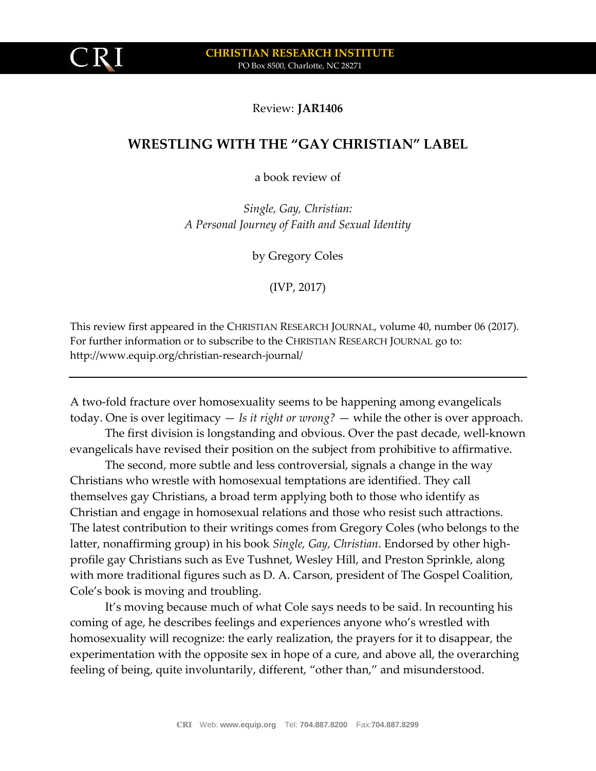

Review: **JAR1406**

## **WRESTLING WITH THE "GAY CHRISTIAN" LABEL**

a book review of

*Single, Gay, Christian: A Personal Journey of Faith and Sexual Identity*

by Gregory Coles

(IVP, 2017)

This review first appeared in the CHRISTIAN RESEARCH JOURNAL, volume 40, number 06 (2017). For further information or to subscribe to the CHRISTIAN RESEARCH JOURNAL go to: http://www.equip.org/christian-research-journal/

A two-fold fracture over homosexuality seems to be happening among evangelicals today. One is over legitimacy — *Is it right or wrong?* — while the other is over approach.

The first division is longstanding and obvious. Over the past decade, well-known evangelicals have revised their position on the subject from prohibitive to affirmative.

The second, more subtle and less controversial, signals a change in the way Christians who wrestle with homosexual temptations are identified. They call themselves gay Christians, a broad term applying both to those who identify as Christian and engage in homosexual relations and those who resist such attractions. The latest contribution to their writings comes from Gregory Coles (who belongs to the latter, nonaffirming group) in his book *Single, Gay, Christian*. Endorsed by other highprofile gay Christians such as Eve Tushnet, Wesley Hill, and Preston Sprinkle, along with more traditional figures such as D. A. Carson, president of The Gospel Coalition, Cole's book is moving and troubling.

It's moving because much of what Cole says needs to be said. In recounting his coming of age, he describes feelings and experiences anyone who's wrestled with homosexuality will recognize: the early realization, the prayers for it to disappear, the experimentation with the opposite sex in hope of a cure, and above all, the overarching feeling of being, quite involuntarily, different, "other than," and misunderstood.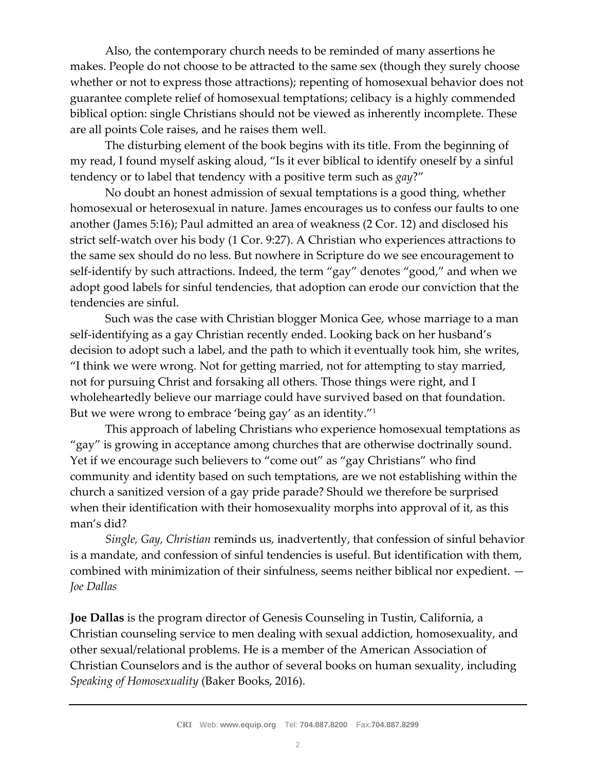Also, the contemporary church needs to be reminded of many assertions he makes. People do not choose to be attracted to the same sex (though they surely choose whether or not to express those attractions); repenting of homosexual behavior does not guarantee complete relief of homosexual temptations; celibacy is a highly commended biblical option: single Christians should not be viewed as inherently incomplete. These are all points Cole raises, and he raises them well.

The disturbing element of the book begins with its title. From the beginning of my read, I found myself asking aloud, "Is it ever biblical to identify oneself by a sinful tendency or to label that tendency with a positive term such as *gay*?"

No doubt an honest admission of sexual temptations is a good thing, whether homosexual or heterosexual in nature. James encourages us to confess our faults to one another (James 5:16); Paul admitted an area of weakness (2 Cor. 12) and disclosed his strict self-watch over his body (1 Cor. 9:27). A Christian who experiences attractions to the same sex should do no less. But nowhere in Scripture do we see encouragement to self-identify by such attractions. Indeed, the term "gay" denotes "good," and when we adopt good labels for sinful tendencies, that adoption can erode our conviction that the tendencies are sinful.

Such was the case with Christian blogger Monica Gee, whose marriage to a man self-identifying as a gay Christian recently ended. Looking back on her husband's decision to adopt such a label, and the path to which it eventually took him, she writes, "I think we were wrong. Not for getting married, not for attempting to stay married, not for pursuing Christ and forsaking all others. Those things were right, and I wholeheartedly believe our marriage could have survived based on that foundation. But we were wrong to embrace 'being gay' as an identity."<sup>1</sup>

This approach of labeling Christians who experience homosexual temptations as "gay" is growing in acceptance among churches that are otherwise doctrinally sound. Yet if we encourage such believers to "come out" as "gay Christians" who find community and identity based on such temptations, are we not establishing within the church a sanitized version of a gay pride parade? Should we therefore be surprised when their identification with their homosexuality morphs into approval of it, as this man's did?

*Single, Gay, Christian* reminds us, inadvertently, that confession of sinful behavior is a mandate, and confession of sinful tendencies is useful. But identification with them, combined with minimization of their sinfulness, seems neither biblical nor expedient. — *Joe Dallas*

**Joe Dallas** is the program director of Genesis Counseling in Tustin, California, a Christian counseling service to men dealing with sexual addiction, homosexuality, and other sexual/relational problems. He is a member of the American Association of Christian Counselors and is the author of several books on human sexuality, including *Speaking of Homosexuality* (Baker Books, 2016).